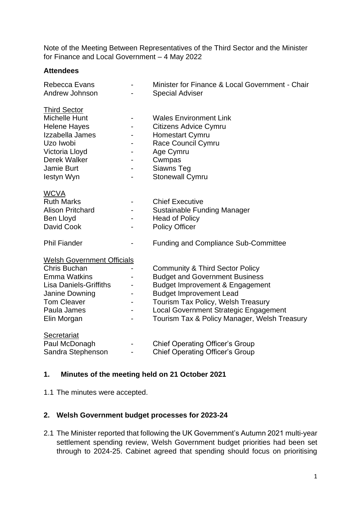Note of the Meeting Between Representatives of the Third Sector and the Minister for Finance and Local Government – 4 May 2022

### **Attendees**

| Rebecca Evans<br>Andrew Johnson                                                                                                                                                 |                               | Minister for Finance & Local Government - Chair<br><b>Special Adviser</b>                                                                                                                                                                                                               |
|---------------------------------------------------------------------------------------------------------------------------------------------------------------------------------|-------------------------------|-----------------------------------------------------------------------------------------------------------------------------------------------------------------------------------------------------------------------------------------------------------------------------------------|
| <b>Third Sector</b><br><b>Michelle Hunt</b><br><b>Helene Hayes</b><br>Izzabella James<br>Uzo Iwobi<br>Victoria Lloyd<br>Derek Walker<br>Jamie Burt<br>lestyn Wyn                | -<br>-                        | <b>Wales Environment Link</b><br><b>Citizens Advice Cymru</b><br><b>Homestart Cymru</b><br>Race Council Cymru<br>Age Cymru<br>Cwmpas<br>Siawns Teg<br>Stonewall Cymru                                                                                                                   |
| <b>WCVA</b><br><b>Ruth Marks</b><br><b>Alison Pritchard</b><br>Ben Lloyd<br>David Cook<br><b>Phil Fiander</b>                                                                   |                               | <b>Chief Executive</b><br><b>Sustainable Funding Manager</b><br><b>Head of Policy</b><br><b>Policy Officer</b><br><b>Funding and Compliance Sub-Committee</b>                                                                                                                           |
| <b>Welsh Government Officials</b><br>Chris Buchan<br><b>Emma Watkins</b><br><b>Lisa Daniels-Griffiths</b><br>Janine Downing<br><b>Tom Cleaver</b><br>Paula James<br>Elin Morgan | -<br>$\overline{\phantom{0}}$ | <b>Community &amp; Third Sector Policy</b><br><b>Budget and Government Business</b><br>Budget Improvement & Engagement<br><b>Budget Improvement Lead</b><br>Tourism Tax Policy, Welsh Treasury<br>Local Government Strategic Engagement<br>Tourism Tax & Policy Manager, Welsh Treasury |
| Secretariat<br>Paul McDonagh<br>Sandra Stephenson                                                                                                                               |                               | <b>Chief Operating Officer's Group</b><br><b>Chief Operating Officer's Group</b>                                                                                                                                                                                                        |

# **1. Minutes of the meeting held on 21 October 2021**

1.1 The minutes were accepted.

# **2. Welsh Government budget processes for 2023-24**

2.1 The Minister reported that following the UK Government's Autumn 2021 multi-year settlement spending review, Welsh Government budget priorities had been set through to 2024-25. Cabinet agreed that spending should focus on prioritising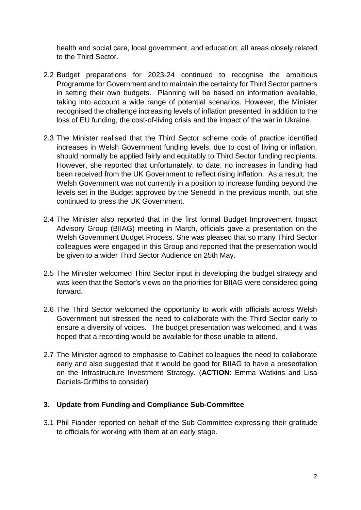health and social care, local government, and education; all areas closely related to the Third Sector.

- 2.2 Budget preparations for 2023-24 continued to recognise the ambitious Programme for Government and to maintain the certainty for Third Sector partners in setting their own budgets. Planning will be based on information available, taking into account a wide range of potential scenarios. However, the Minister recognised the challenge increasing levels of inflation presented, in addition to the loss of EU funding, the cost-of-living crisis and the impact of the war in Ukraine.
- 2.3 The Minister realised that the Third Sector scheme code of practice identified increases in Welsh Government funding levels, due to cost of living or inflation, should normally be applied fairly and equitably to Third Sector funding recipients. However, she reported that unfortunately, to date, no increases in funding had been received from the UK Government to reflect rising inflation. As a result, the Welsh Government was not currently in a position to increase funding beyond the levels set in the Budget approved by the Senedd in the previous month, but she continued to press the UK Government.
- 2.4 The Minister also reported that in the first formal Budget Improvement Impact Advisory Group (BIIAG) meeting in March, officials gave a presentation on the Welsh Government Budget Process. She was pleased that so many Third Sector colleagues were engaged in this Group and reported that the presentation would be given to a wider Third Sector Audience on 25th May.
- 2.5 The Minister welcomed Third Sector input in developing the budget strategy and was keen that the Sector's views on the priorities for BIIAG were considered going forward.
- 2.6 The Third Sector welcomed the opportunity to work with officials across Welsh Government but stressed the need to collaborate with the Third Sector early to ensure a diversity of voices. The budget presentation was welcomed, and it was hoped that a recording would be available for those unable to attend.
- 2.7 The Minister agreed to emphasise to Cabinet colleagues the need to collaborate early and also suggested that it would be good for BIIAG to have a presentation on the Infrastructure Investment Strategy. (**ACTION**: Emma Watkins and Lisa Daniels-Griffiths to consider)

#### **3. Update from Funding and Compliance Sub-Committee**

3.1 Phil Fiander reported on behalf of the Sub Committee expressing their gratitude to officials for working with them at an early stage.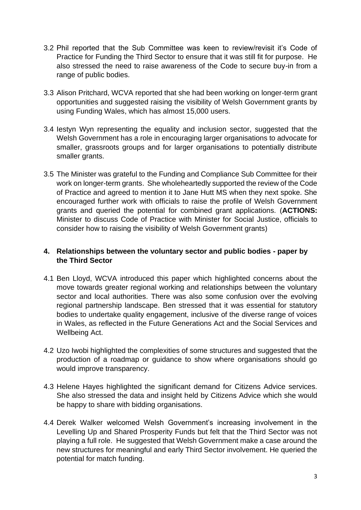- 3.2 Phil reported that the Sub Committee was keen to review/revisit it's Code of Practice for Funding the Third Sector to ensure that it was still fit for purpose. He also stressed the need to raise awareness of the Code to secure buy-in from a range of public bodies.
- 3.3 Alison Pritchard, WCVA reported that she had been working on longer-term grant opportunities and suggested raising the visibility of Welsh Government grants by using Funding Wales, which has almost 15,000 users.
- 3.4 Iestyn Wyn representing the equality and inclusion sector, suggested that the Welsh Government has a role in encouraging larger organisations to advocate for smaller, grassroots groups and for larger organisations to potentially distribute smaller grants.
- 3.5 The Minister was grateful to the Funding and Compliance Sub Committee for their work on longer-term grants. She wholeheartedly supported the review of the Code of Practice and agreed to mention it to Jane Hutt MS when they next spoke. She encouraged further work with officials to raise the profile of Welsh Government grants and queried the potential for combined grant applications. (**ACTIONS:** Minister to discuss Code of Practice with Minister for Social Justice, officials to consider how to raising the visibility of Welsh Government grants)

# **4. Relationships between the voluntary sector and public bodies - paper by the Third Sector**

- 4.1 Ben Lloyd, WCVA introduced this paper which highlighted concerns about the move towards greater regional working and relationships between the voluntary sector and local authorities. There was also some confusion over the evolving regional partnership landscape. Ben stressed that it was essential for statutory bodies to undertake quality engagement, inclusive of the diverse range of voices in Wales, as reflected in the Future Generations Act and the Social Services and Wellbeing Act.
- 4.2 Uzo Iwobi highlighted the complexities of some structures and suggested that the production of a roadmap or guidance to show where organisations should go would improve transparency.
- 4.3 Helene Hayes highlighted the significant demand for Citizens Advice services. She also stressed the data and insight held by Citizens Advice which she would be happy to share with bidding organisations.
- 4.4 Derek Walker welcomed Welsh Government's increasing involvement in the Levelling Up and Shared Prosperity Funds but felt that the Third Sector was not playing a full role. He suggested that Welsh Government make a case around the new structures for meaningful and early Third Sector involvement. He queried the potential for match funding.